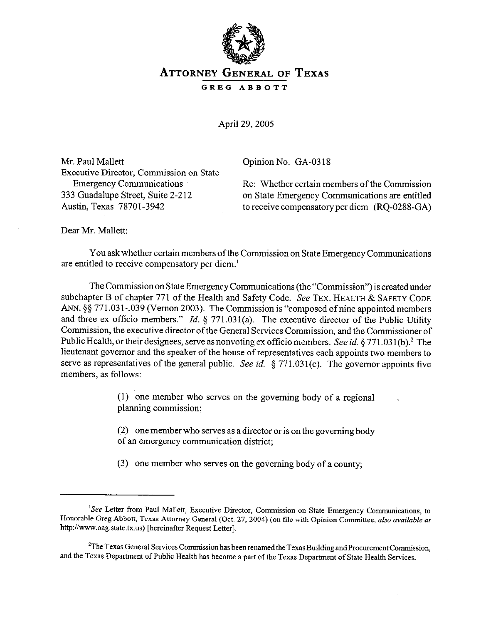

## **ATTORNEY GENERAL OF TEXAS**

**GREG ABBOTT** 

April 29,2005

Mr. Paul Mallett Executive Director, Commission on State Opinion No. GA-03 18

Emergency Communications<br>
Re: Whether certain members of the Commission<br>
233 Guadalupe Street, Suite 2-212<br>
on State Emergency Communications are entitled 333 Guadalupe Street, Suite 2-212 on State Emergency Communications are entitled<br>Austin, Texas 78701-3942 to receive compensatory per diem (RO-0288-GA) to receive compensatory per diem (RQ-0288-GA)

Dear Mr. Mallett:

You ask whether certain members ofthe Commission on State Emergency Communications are entitled to receive compensatory per diem.'

The Commission on State Emergency Communications (the "Commission") is created under subchapter B of chapter 771 of the Health and Safety Code. See TEX. HEALTH & SAFETY CODE ANN. §§ 771.031-.039 (Vernon 2003). The Commission is "composed of nine appointed members and three ex officio members." *Id.* § 771.031(a). The executive director of the Public Utility Commission, the executive director of the General Services Commission, and the Commissioner of Public Health, or their designees, serve as nonvoting ex officio members. See *id.* § 771.031(b).<sup>2</sup> The lieutenant governor and the speaker of the house of representatives each appoints two members to serve as representatives of the general public. See *id.* § 771.031(c). The governor appoints five members, as follows:

> (1) one member who serves on the governing body of a regional planning commission;

(2) one member who serves as a director or is on the governing body of an emergency communication district;

(3) one member who serves on the governing body of a county;

<sup>&</sup>lt;sup>1</sup>See Letter from Paul Mallett, Executive Director, Commission on State Emergency Communications, to Honorable Greg Abbott, Texas Attorney General (Oct. 27,2004) (on file with opinion Committee, also *avoidable af*  http://www.oag.state.tx.us) [hereinafter Request Letter].

<sup>&</sup>lt;sup>2</sup>The Texas General Services Commission has been renamed the Texas Building and Procurement Commission, and the Texas Department of Public Health has become a part of the Texas Department of State Health Services.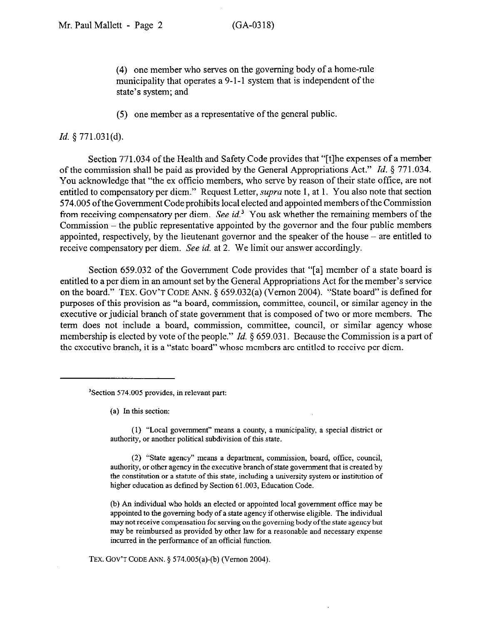(4) one member who serves on the governing body of a home-rule municipality that operates a 9-l-l system that is independent of the state's system; and

(5) one member as a representative of the general public.

## *Id.* 5 771.031(d).

Section 771.034 of the Health and Safety Code provides that "[t]he expenses of a member of the commission shall be paid as provided by the General Appropriations Act." *Id. 5* 771.034. You acknowledge that "the ex officio members, who serve by reason of their state office, are not entitled to compensatory per diem." Request Letter, *supra* note 1, at 1. You also note that section 574.005 ofthe Government Code prohibits local elected and appointed members ofthe Commission from receiving compensatory per diem. See *id.'* You ask whether the remaining members of the Commission - the public representative appointed by the governor and the four public members appointed, respectively, by the lieutenant governor and the speaker of the house - are entitled to receive compensatory per diem. See *id.* at 2. We limit our answer accordingly.

Section 659.032 of the Government Code provides that "[a] member of a state board is entitled to a per diem in an amount set by the General Appropriations Act for the member's service on the board." TEX. GOV'T CODE ANN. § 659.032(a) (Vernon 2004). "State board" is defined for purposes of this provision as "a board, commission, committee, council, or similar agency in the executive or judicial branch of state government that is composed of two or more members. The term does not include a board, commission, committee, council, or similar agency whose membership is elected by vote of the people." *Id.* § 659.031. Because the Commission is a part of the executive branch, it is a "state board" whose members are entitled to receive per diem.

(a) In this section:

(1) "Local government" means a county, a municipality, a special district or authority, or another political subdivision of this state.

(2) "State agency" means a deparhnent, commission, board, office, council, authority, or other agency in the executive branch of state government that is created by the constitution or a statute of this state, including a university system or institution of higher education as defined by Section 61.003, Education Code.

(b) An individual who holds an elected or appointed local government office may be appointed to the governing body of a state agency if otherwise eligible. The individual may not receive compensation for sewing on the governing body ofthe state agency but may be reimbursed as provided by other law for a reasonable and necessary expense incurred in the performance of an official function.

TEX. GOV'T CODE ANN. 5 574.005(a)-(b) (Vernon 2004)

<sup>&#</sup>x27;Section 574.005 provides, in relevant part: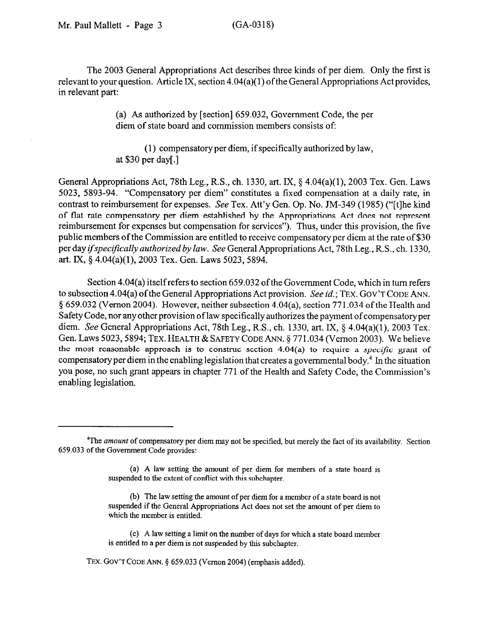The 2003 General Appropriations Act describes three kinds of per diem. Only the first is relevant to your question. Article IX, section 4.04(a)( 1) of the General Appropriations Act provides, in relevant part:

> (a) As authorized by [section] 659.032, Government Code, the per diem of state board and commission members consists of:

> (1) compensatory per diem, if specifically authorized by law, at \$30 per day[.]

General Appropriations Act, 78th Leg., R.S., ch. 1330, art. IX,  $\S$  4.04(a)(1), 2003 Tex. Gen. Laws 5023, 5893-94. "Compensatory per diem" constitutes a fixed compensation at a daily rate, in contrast to reimbursement for expenses. See Tex. Att'y Gen. Op. No. JM-349 (1985) ("[tlhe kind of flat rate compensatory per diem established by the Appropriations Act does not represent reimbursement for expenses but compensation for services"). Thus, under this provision, the five public members of the Commission are entitled to receive compensatory per diem at the rate of \$30 per day *ifspecifcally authorized by law.* See General Appropriations Act, 78th Leg., R.S., ch. 1330, art. IX, § 4.04(a)(1), 2003 Tex. Gen. Laws 5023, 5894.

Section 4.04(a) itself refers to section 659.032 of the Government Code, which in turn refers to subsection 4.04(a) ofthe General Appropriations Act provision. See *id.;* TEX. GOV'T CODE ANN. \$659.032 (Vernon 2004). However, neither subsection 4.04(a), section 771.034 of the Health and Safety Code, nor any other provision of law specifically authorizes the payment of compensatory per diem. See General Appropriations Act, 78th Leg., R.S., ch. 1330, art. IX, § 4.04(a)(1), 2003 Tex. Gen. Laws 5023,5894; TEX. HEALTH & SAFETY CODE ANN. § 771.034 (Vernon 2003). We believe the most reasonable approach is to construe section 4.04(a) to require a *specific* grant of compensatory per diem in the enabling legislation that creates a governmental body." Jn the situation you pose, no such grant appears in chapter 771 of the Health and Safety Code, the Commission's enabling legislation.

(b) The law setting the amount of per diem for a member of a state board is not suspended if the General Appropriations Act does not set the amount of per diem to which the member is entitled.

(c) A law setting a limit on the number of days for which a state board member is entitled to a per diem is not suspended by this subchapter.

TEX. GOV'T CODE ANN.  $\S$  659.033 (Vernon 2004) (emphasis added).

<sup>&</sup>lt;sup>4</sup>The amount of compensatory per diem may not be specified, but merely the fact of its availability. Section 659.033 of the Government Code provides:

<sup>(</sup>a) A law setting the amount of per diem for members of a state board is suspended to the extent of conflict with this subchapter.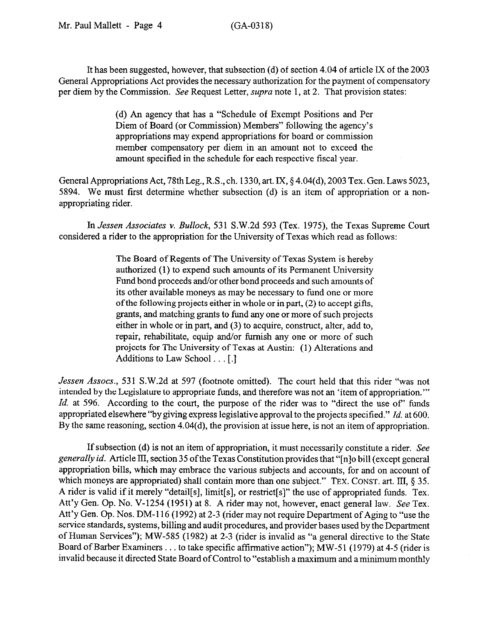It has been suggested, however, that subsection (d) of section 4.04 of article IX of the 2003 General Appropriations Act provides the necessary authorization for the payment of compensatory per diem by the Commission. See Request Letter, supra note 1, at 2. That provision states:

> (d) An agency that has a "Schedule of Exempt Positions and Per Diem of Board (or Commission) Members" following the agency's appropriations may expend appropriations for board or commission member compensatory per diem in an amount not to exceed the amount specified in the schedule for each respective fiscal year.

General Appropriations Act, 78thLeg., R.S., ch. 1330, art. IX, § 4.04(d), 2003 Tex. Gen. Laws 5023, 5894. We must first determine whether subsection (d) is an item of appropriation or a nonappropriating rider.

In *Jessen Associates* v. *Bullock,* 531 S.W.2d 593 (Tex. 1975), the Texas Supreme Court considered a rider to the appropriation for the University of Texas which read as follows:

> The Board of Regents of The University of Texas System is hereby authorized (1) to expend such amounts of its Permanent University Fund bond proceeds and/or other bond proceeds and such amounts of its other available moneys as may be necessary to fund one or more ofthe following projects either in whole or in part, (2) to accept gifts, grants, and matching grants to fund any one or more of such projects either in whole or in part, and (3) to acquire, construct, alter, add to, repair, rehabilitate, equip and/or furnish any one or more of such projects for The University of Texas at Austin: (1) Alterations and Additions to Law School . . . [.]

*Jessen Assocs.,* 531 S.W.2d at 597 (footnote omitted). The court held that this rider "was not intended by the Legislature to appropriate funds, and therefore was not an 'item of appropriation."' *Id.* at 596. According to the court, the purpose of the rider was to "direct the use of' funds appropriated elsewhere "bygiving express legislative approval to the projects specified." *Id.* at 600. By the same reasoning, section 4.04(d), the provision at issue here, is not an item of appropriation.

If subsection (d) is not an item of appropriation, it must necessarily constitute a rider. See generally *id.* Article III, section 35 of the Texas Constitution provides that "[n]o bill (except general appropriation bills, which may embrace the various subjects and accounts, for and on account of which moneys are appropriated) shall contain more than one subject." TEX. CONST. art. III,  $\S 35$ . A rider is valid if it merely "detail[s], limit[s], or restrict[s]" the use of appropriated funds. Tex. Att'y Gen. Op. No. V-1254 (1951) at 8. A rider may not, however, enact general law. See Tex. Att'y Gen. Op. Nos. DM-116 (1992) at 2-3 (rider may not require Department of Aging to "use the service standards, systems, billing and audit procedures, and provider bases used by the Department of Human Services"); MW-585 (1982) at 2-3 (rider is invalid as "a general directive to the State Board of Barber Examiners . . . to take specific affirmative action"); MW-51 (1979) at 4-5 (rider is invalid because it directed State Board of Control to "establish a maximum and a minimum monthly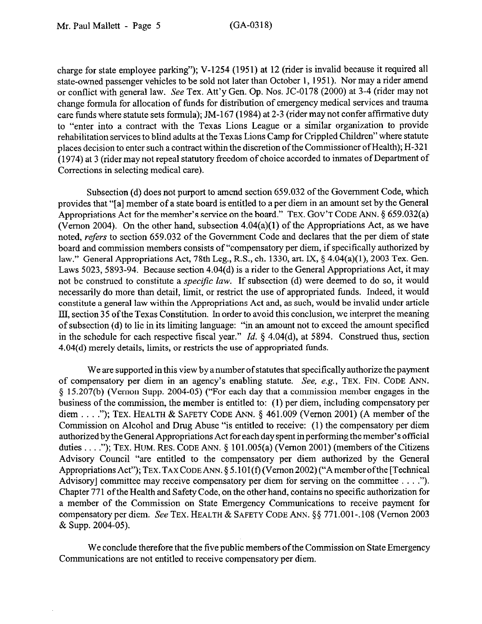charge for state employee parking"); V-1254 (1951) at 12 (rider is invalid because it required all state-owned passenger vehicles to be sold not later than October 1, 1951). Nor may a rider amend or conflict with general law. See Tex. Att'y Gen. Op. Nos. JC-0178 (2000) at 3-4 (rider may not change formula for allocation of funds for distribution of emergency medical services and trauma care funds where statute sets formula); JM-167 (1984) at 2-3 (rider may not confer affirmative duty to "enter into a contract with the Texas Lions League or a similar organization to provide rehabilitation services to blind adults at the Texas Lions Camp for Crippled Children" where statute places decision to enter such a contract within the discretion of the Commissioner of Health); H-321 (1974) at 3 (rider may not repeal statutory freedom of choice accorded to inmates of Department of Corrections in selecting medical care).

Subsection (d) does not purport to amend section 659.032 of the Government Code, which provides that "[a] member of a state board is entitled to a per diem in an amount set by the General Appropriations Act for the member's service on the board." TEX. GOV'T CODE ANN. § 659.032(a) (Vernon 2004). On the other hand, subsection  $4.04(a)(1)$  of the Appropriations Act, as we have noted, *refers* to section 659.032 of the Government Code and declares that the per diem of state board and commission members consists of "compensatory per diem, if specifically authorized by law." General Appropriations Act, 78th Leg., R.S., ch. 1330, art. IX, § 4.04(a)(l), 2003 Tex. Gen. Laws 5023, 5893-94. Because section 4.04(d) is a rider to the General Appropriations Act, it may not be construed to constitute a *specific law*. If subsection (d) were deemed to do so, it would necessarily do more than detail, limit, or restrict the use of appropriated funds. Indeed, it would constitute a general law within the Appropriations Act and, as such, would be invalid under article III, section 35 of the Texas Constitution. In order to avoid this conclusion, we interpret the meaning of subsection (d) to lie in its limiting language: "in an amount not to exceed the amount specified in the schedule for each respective fiscal year." *Id.* § 4.04(d), at 5894. Construed thus, section 4.04(d) merely details, limits, or restricts the use of appropriated funds.

We are supported in this view by a number of statutes that specifically authorize the payment of compensatory per diem in an agency's enabling statute. See, e.g., TEX. FIN. CODE ANN. 5 15.207(b) (Vernon Supp. 2004-05) ("For each day that a commission member engages in the business of the commission, the member is entitled to: (1) per diem, including compensatory per diem . . . ."); TEX. HEALTH & SAFETY CODE ANN.  $\S$  461.009 (Vernon 2001) (A member of the Commission on Alcohol and Drug Abuse "is entitled to receive: (1) the compensatory per diem authorizedby the General Appropriations Act for each day spent in performing the member's official duties . . . ."); TEX. HUM. RES. CODE ANN.  $\S$  101.005(a) (Vernon 2001) (members of the Citizens Advisory Council "are entitled to the compensatory per diem authorized by the General Appropriations Act"); TEX. TAX CODE ANN. § 5.101(f) (V ernon 2002) ("A member of the [Technical Advisory] committee may receive compensatory per diem for serving on the committee  $\dots$ ."). Chapter 771 of the Health and Safety Code, on the other hand, contains no specific authorization for a member of the Commission on State Emergency Communications to receive payment for compensatory per diem. See TEX. HEALTH & SAFETY CODE ANN. §§ 771.001-.108 (Vernon 2003 & Supp. 2004-05).

We conclude therefore that the five public members of the Commission on State Emergency Communications are not entitled to receive compensatory per diem.